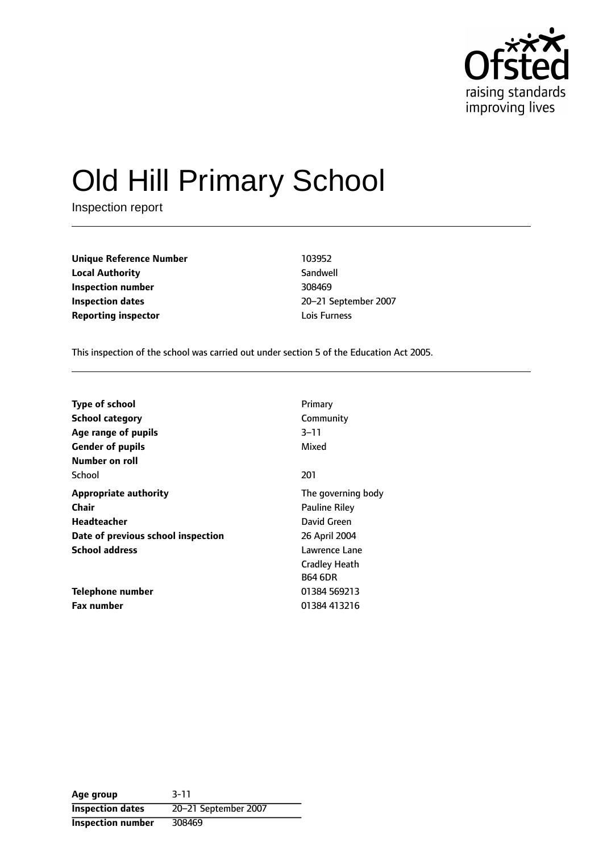

# Old Hill Primary School

Inspection report

**Unique Reference Number** 103952 **Local Authority** Sandwell **Inspection number** 308469 **Inspection dates** 20-21 September 2007 **Reporting inspector and a local contract to the United States Contract Lois Furness** 

This inspection of the school was carried out under section 5 of the Education Act 2005.

| <b>Type of school</b>              | Primary              |
|------------------------------------|----------------------|
| <b>School category</b>             | Community            |
| Age range of pupils                | 3–11                 |
| <b>Gender of pupils</b>            | Mixed                |
| Number on roll                     |                      |
| School                             | 201                  |
| <b>Appropriate authority</b>       | The governing body   |
| <b>Chair</b>                       | <b>Pauline Riley</b> |
| Headteacher                        | David Green          |
| Date of previous school inspection | 26 April 2004        |
| <b>School address</b>              | Lawrence Lane        |
|                                    | <b>Cradley Heath</b> |
|                                    | <b>B64 6DR</b>       |
| Telephone number                   | 01384 569213         |
| <b>Fax number</b>                  | 01384 413216         |

**Age group** 3-11 **Inspection dates** 20-21 September 2007 **Inspection number** 308469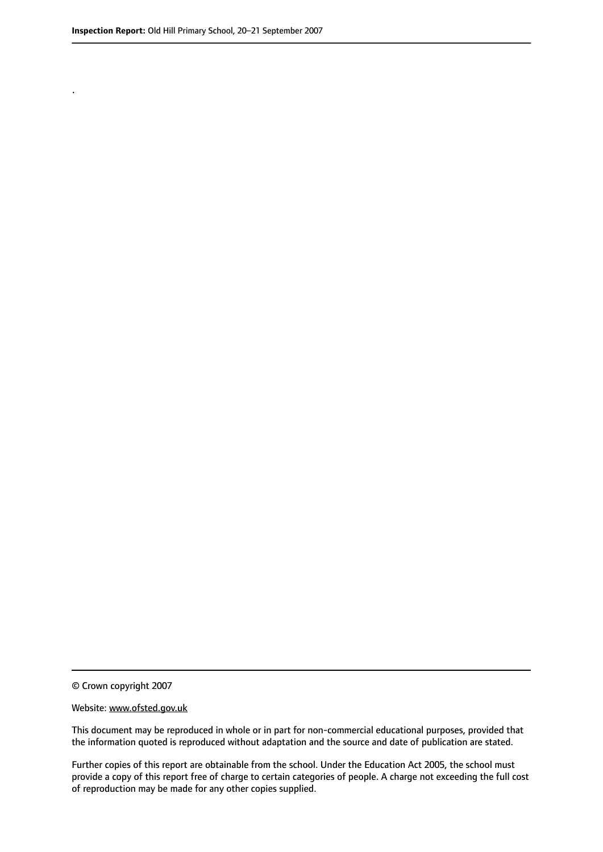.

© Crown copyright 2007

#### Website: www.ofsted.gov.uk

This document may be reproduced in whole or in part for non-commercial educational purposes, provided that the information quoted is reproduced without adaptation and the source and date of publication are stated.

Further copies of this report are obtainable from the school. Under the Education Act 2005, the school must provide a copy of this report free of charge to certain categories of people. A charge not exceeding the full cost of reproduction may be made for any other copies supplied.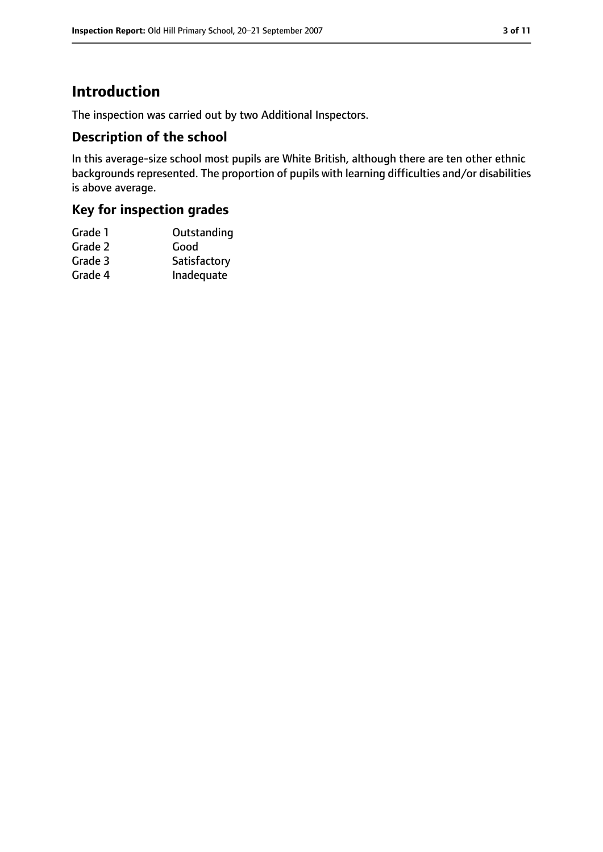## **Introduction**

The inspection was carried out by two Additional Inspectors.

#### **Description of the school**

In this average-size school most pupils are White British, although there are ten other ethnic backgrounds represented. The proportion of pupils with learning difficulties and/or disabilities is above average.

## **Key for inspection grades**

| Grade 1 | Outstanding  |
|---------|--------------|
| Grade 2 | Good         |
| Grade 3 | Satisfactory |
| Grade 4 | Inadequate   |
|         |              |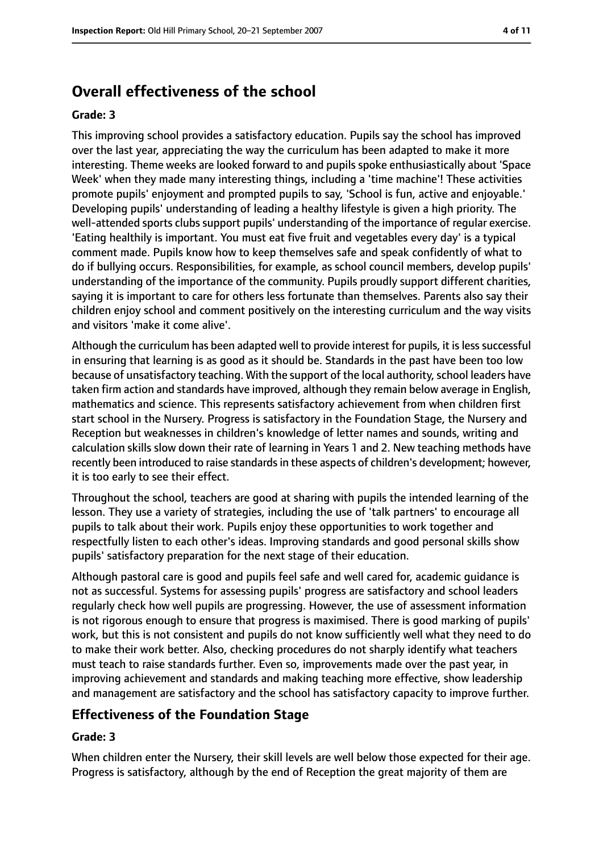# **Overall effectiveness of the school**

#### **Grade: 3**

This improving school provides a satisfactory education. Pupils say the school has improved over the last year, appreciating the way the curriculum has been adapted to make it more interesting. Theme weeks are looked forward to and pupils spoke enthusiastically about 'Space Week' when they made many interesting things, including a 'time machine'! These activities promote pupils' enjoyment and prompted pupils to say, 'School is fun, active and enjoyable.' Developing pupils' understanding of leading a healthy lifestyle is given a high priority. The well-attended sports clubs support pupils' understanding of the importance of regular exercise. 'Eating healthily is important. You must eat five fruit and vegetables every day' is a typical comment made. Pupils know how to keep themselves safe and speak confidently of what to do if bullying occurs. Responsibilities, for example, as school council members, develop pupils' understanding of the importance of the community. Pupils proudly support different charities, saying it is important to care for others less fortunate than themselves. Parents also say their children enjoy school and comment positively on the interesting curriculum and the way visits and visitors 'make it come alive'.

Although the curriculum has been adapted well to provide interest for pupils, it is less successful in ensuring that learning is as good as it should be. Standards in the past have been too low because of unsatisfactory teaching. With the support of the local authority, school leaders have taken firm action and standards have improved, although they remain below average in English, mathematics and science. This represents satisfactory achievement from when children first start school in the Nursery. Progress is satisfactory in the Foundation Stage, the Nursery and Reception but weaknesses in children's knowledge of letter names and sounds, writing and calculation skills slow down their rate of learning in Years 1 and 2. New teaching methods have recently been introduced to raise standards in these aspects of children's development; however, it is too early to see their effect.

Throughout the school, teachers are good at sharing with pupils the intended learning of the lesson. They use a variety of strategies, including the use of 'talk partners' to encourage all pupils to talk about their work. Pupils enjoy these opportunities to work together and respectfully listen to each other's ideas. Improving standards and good personal skills show pupils' satisfactory preparation for the next stage of their education.

Although pastoral care is good and pupils feel safe and well cared for, academic guidance is not as successful. Systems for assessing pupils' progress are satisfactory and school leaders regularly check how well pupils are progressing. However, the use of assessment information is not rigorous enough to ensure that progress is maximised. There is good marking of pupils' work, but this is not consistent and pupils do not know sufficiently well what they need to do to make their work better. Also, checking procedures do not sharply identify what teachers must teach to raise standards further. Even so, improvements made over the past year, in improving achievement and standards and making teaching more effective, show leadership and management are satisfactory and the school has satisfactory capacity to improve further.

#### **Effectiveness of the Foundation Stage**

#### **Grade: 3**

When children enter the Nursery, their skill levels are well below those expected for their age. Progress is satisfactory, although by the end of Reception the great majority of them are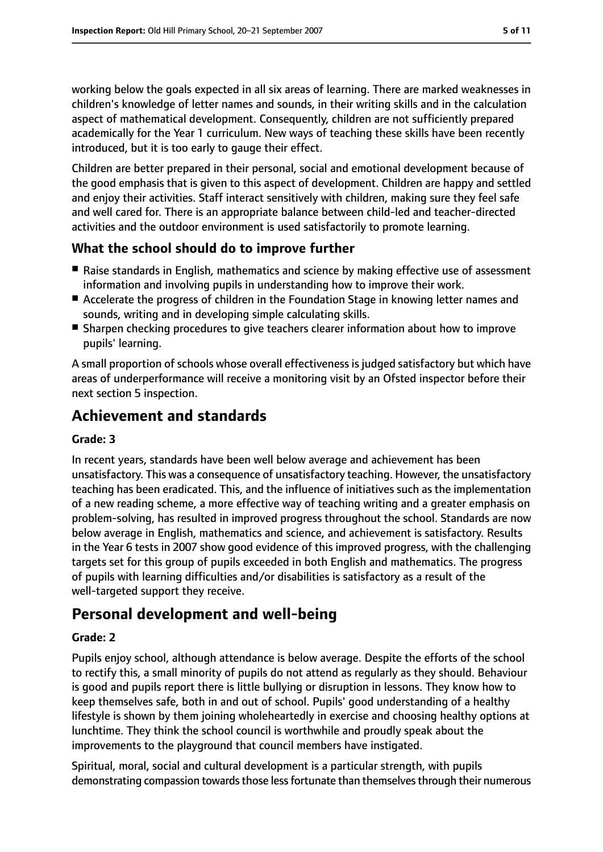working below the goals expected in all six areas of learning. There are marked weaknesses in children's knowledge of letter names and sounds, in their writing skills and in the calculation aspect of mathematical development. Consequently, children are not sufficiently prepared academically for the Year 1 curriculum. New ways of teaching these skills have been recently introduced, but it is too early to gauge their effect.

Children are better prepared in their personal, social and emotional development because of the good emphasis that is given to this aspect of development. Children are happy and settled and enjoy their activities. Staff interact sensitively with children, making sure they feel safe and well cared for. There is an appropriate balance between child-led and teacher-directed activities and the outdoor environment is used satisfactorily to promote learning.

## **What the school should do to improve further**

- Raise standards in English, mathematics and science by making effective use of assessment information and involving pupils in understanding how to improve their work.
- Accelerate the progress of children in the Foundation Stage in knowing letter names and sounds, writing and in developing simple calculating skills.
- Sharpen checking procedures to give teachers clearer information about how to improve pupils' learning.

A small proportion of schools whose overall effectiveness is judged satisfactory but which have areas of underperformance will receive a monitoring visit by an Ofsted inspector before their next section 5 inspection.

## **Achievement and standards**

#### **Grade: 3**

In recent years, standards have been well below average and achievement has been unsatisfactory. This was a consequence of unsatisfactory teaching. However, the unsatisfactory teaching has been eradicated. This, and the influence of initiatives such as the implementation of a new reading scheme, a more effective way of teaching writing and a greater emphasis on problem-solving, has resulted in improved progress throughout the school. Standards are now below average in English, mathematics and science, and achievement is satisfactory. Results in the Year 6 tests in 2007 show good evidence of this improved progress, with the challenging targets set for this group of pupils exceeded in both English and mathematics. The progress of pupils with learning difficulties and/or disabilities is satisfactory as a result of the well-targeted support they receive.

## **Personal development and well-being**

#### **Grade: 2**

Pupils enjoy school, although attendance is below average. Despite the efforts of the school to rectify this, a small minority of pupils do not attend as regularly as they should. Behaviour is good and pupils report there is little bullying or disruption in lessons. They know how to keep themselves safe, both in and out of school. Pupils' good understanding of a healthy lifestyle is shown by them joining wholeheartedly in exercise and choosing healthy options at lunchtime. They think the school council is worthwhile and proudly speak about the improvements to the playground that council members have instigated.

Spiritual, moral, social and cultural development is a particular strength, with pupils demonstrating compassion towards those less fortunate than themselves through their numerous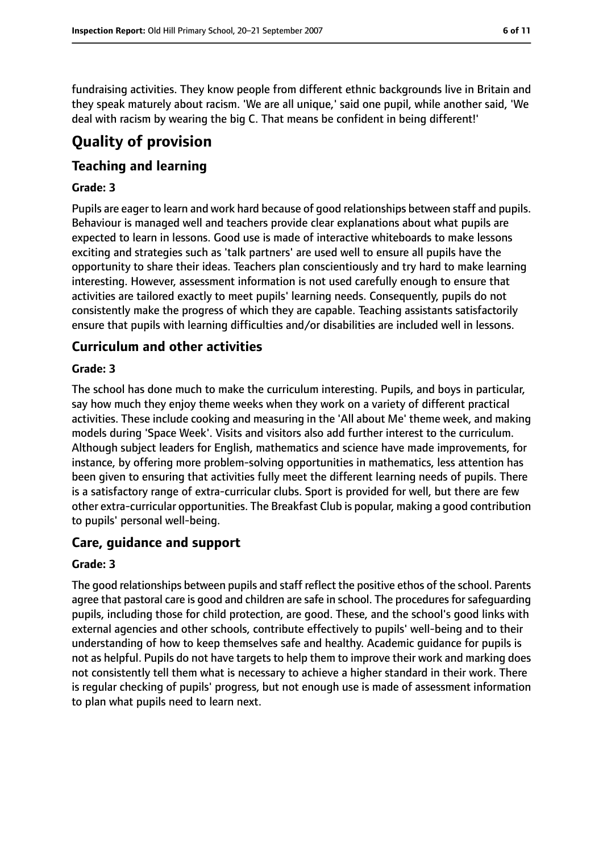fundraising activities. They know people from different ethnic backgrounds live in Britain and they speak maturely about racism. 'We are all unique,' said one pupil, while another said, 'We deal with racism by wearing the big C. That means be confident in being different!'

# **Quality of provision**

## **Teaching and learning**

#### **Grade: 3**

Pupils are eager to learn and work hard because of good relationships between staff and pupils. Behaviour is managed well and teachers provide clear explanations about what pupils are expected to learn in lessons. Good use is made of interactive whiteboards to make lessons exciting and strategies such as 'talk partners' are used well to ensure all pupils have the opportunity to share their ideas. Teachers plan conscientiously and try hard to make learning interesting. However, assessment information is not used carefully enough to ensure that activities are tailored exactly to meet pupils' learning needs. Consequently, pupils do not consistently make the progress of which they are capable. Teaching assistants satisfactorily ensure that pupils with learning difficulties and/or disabilities are included well in lessons.

## **Curriculum and other activities**

#### **Grade: 3**

The school has done much to make the curriculum interesting. Pupils, and boys in particular, say how much they enjoy theme weeks when they work on a variety of different practical activities. These include cooking and measuring in the 'All about Me' theme week, and making models during 'Space Week'. Visits and visitors also add further interest to the curriculum. Although subject leaders for English, mathematics and science have made improvements, for instance, by offering more problem-solving opportunities in mathematics, less attention has been given to ensuring that activities fully meet the different learning needs of pupils. There is a satisfactory range of extra-curricular clubs. Sport is provided for well, but there are few other extra-curricular opportunities. The Breakfast Club is popular, making a good contribution to pupils' personal well-being.

## **Care, guidance and support**

#### **Grade: 3**

The good relationships between pupils and staff reflect the positive ethos of the school. Parents agree that pastoral care is good and children are safe in school. The procedures for safeguarding pupils, including those for child protection, are good. These, and the school's good links with external agencies and other schools, contribute effectively to pupils' well-being and to their understanding of how to keep themselves safe and healthy. Academic guidance for pupils is not as helpful. Pupils do not have targets to help them to improve their work and marking does not consistently tell them what is necessary to achieve a higher standard in their work. There is regular checking of pupils' progress, but not enough use is made of assessment information to plan what pupils need to learn next.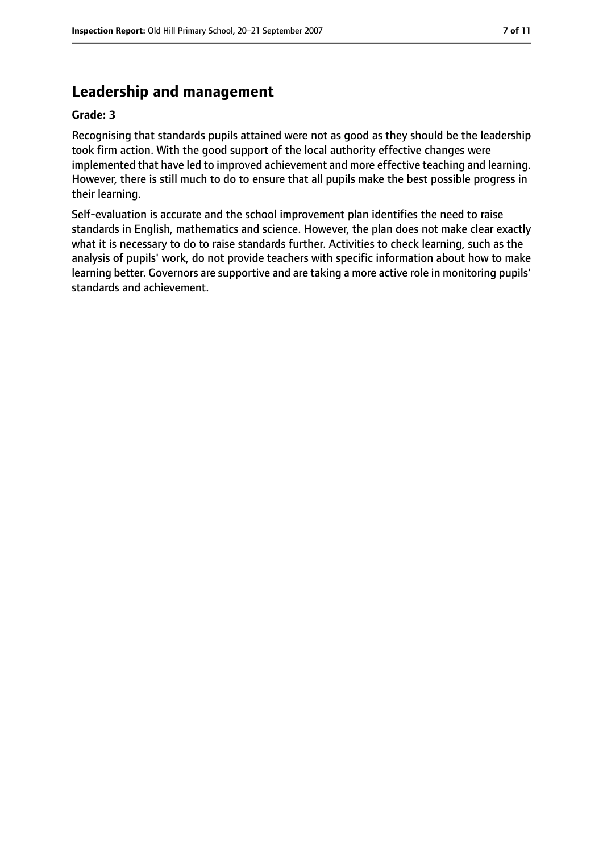## **Leadership and management**

#### **Grade: 3**

Recognising that standards pupils attained were not as good as they should be the leadership took firm action. With the good support of the local authority effective changes were implemented that have led to improved achievement and more effective teaching and learning. However, there is still much to do to ensure that all pupils make the best possible progress in their learning.

Self-evaluation is accurate and the school improvement plan identifies the need to raise standards in English, mathematics and science. However, the plan does not make clear exactly what it is necessary to do to raise standards further. Activities to check learning, such as the analysis of pupils' work, do not provide teachers with specific information about how to make learning better. Governors are supportive and are taking a more active role in monitoring pupils' standards and achievement.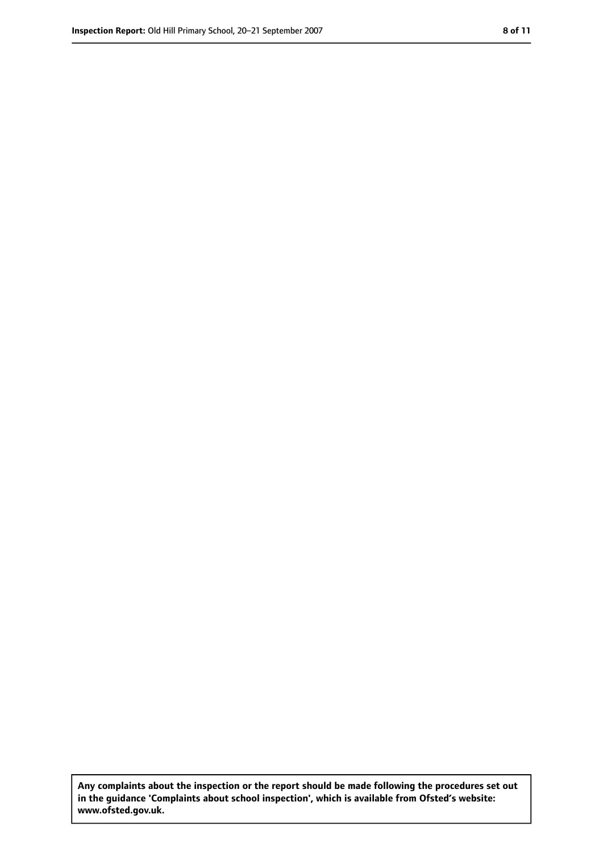**Any complaints about the inspection or the report should be made following the procedures set out in the guidance 'Complaints about school inspection', which is available from Ofsted's website: www.ofsted.gov.uk.**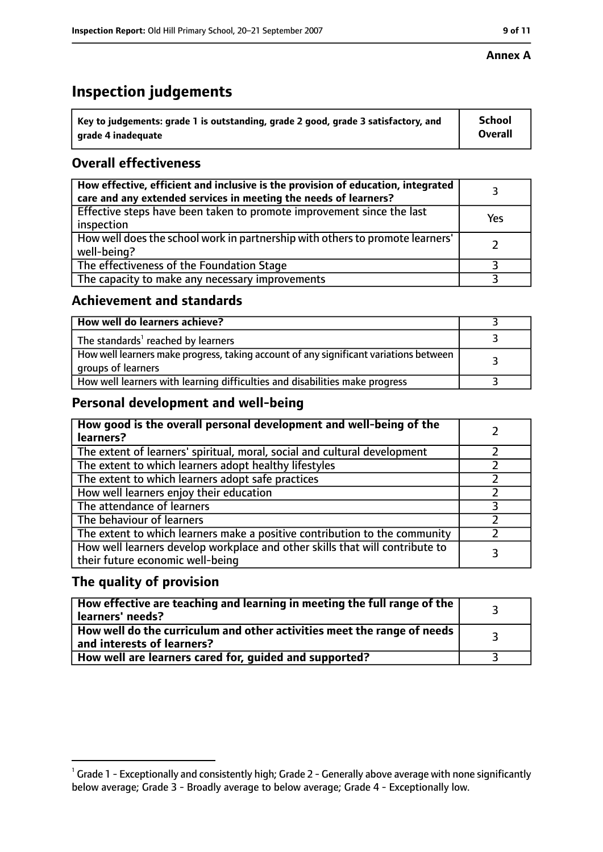#### **Annex A**

## **Inspection judgements**

| $^{\backprime}$ Key to judgements: grade 1 is outstanding, grade 2 good, grade 3 satisfactory, and | <b>School</b>  |
|----------------------------------------------------------------------------------------------------|----------------|
| arade 4 inadequate                                                                                 | <b>Overall</b> |

## **Overall effectiveness**

| How effective, efficient and inclusive is the provision of education, integrated<br>care and any extended services in meeting the needs of learners? |     |
|------------------------------------------------------------------------------------------------------------------------------------------------------|-----|
| Effective steps have been taken to promote improvement since the last<br>inspection                                                                  | Yes |
| How well does the school work in partnership with others to promote learners'<br>well-being?                                                         |     |
| The effectiveness of the Foundation Stage                                                                                                            |     |
| The capacity to make any necessary improvements                                                                                                      |     |

#### **Achievement and standards**

| How well do learners achieve?                                                                               |  |
|-------------------------------------------------------------------------------------------------------------|--|
| The standards <sup>1</sup> reached by learners                                                              |  |
| How well learners make progress, taking account of any significant variations between<br>groups of learners |  |
| How well learners with learning difficulties and disabilities make progress                                 |  |

#### **Personal development and well-being**

| How good is the overall personal development and well-being of the<br>learners?                                  |  |
|------------------------------------------------------------------------------------------------------------------|--|
| The extent of learners' spiritual, moral, social and cultural development                                        |  |
| The extent to which learners adopt healthy lifestyles                                                            |  |
| The extent to which learners adopt safe practices                                                                |  |
| How well learners enjoy their education                                                                          |  |
| The attendance of learners                                                                                       |  |
| The behaviour of learners                                                                                        |  |
| The extent to which learners make a positive contribution to the community                                       |  |
| How well learners develop workplace and other skills that will contribute to<br>their future economic well-being |  |

#### **The quality of provision**

| How effective are teaching and learning in meeting the full range of the<br>learners' needs?          |  |
|-------------------------------------------------------------------------------------------------------|--|
| How well do the curriculum and other activities meet the range of needs<br>and interests of learners? |  |
| How well are learners cared for, guided and supported?                                                |  |

 $^1$  Grade 1 - Exceptionally and consistently high; Grade 2 - Generally above average with none significantly below average; Grade 3 - Broadly average to below average; Grade 4 - Exceptionally low.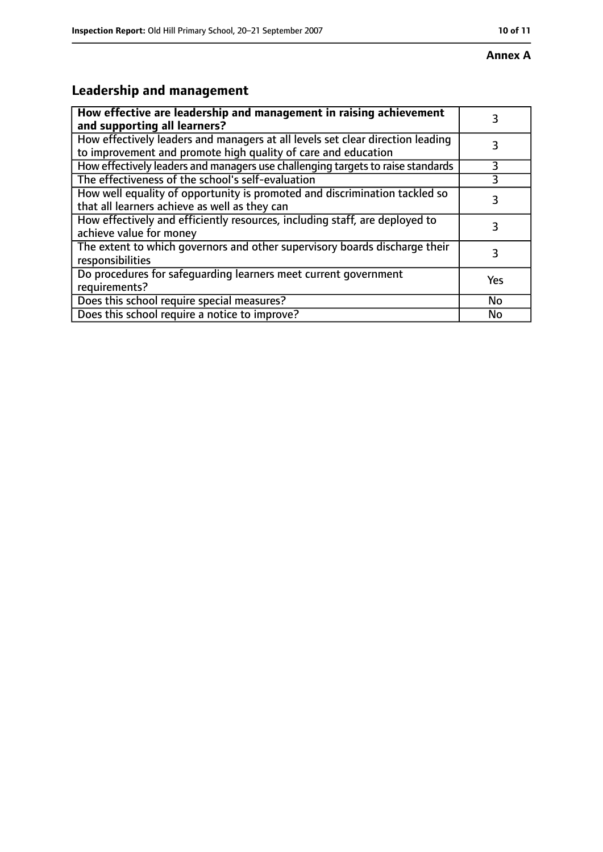# **Leadership and management**

| How effective are leadership and management in raising achievement<br>and supporting all learners?                                              | 3         |
|-------------------------------------------------------------------------------------------------------------------------------------------------|-----------|
| How effectively leaders and managers at all levels set clear direction leading<br>to improvement and promote high quality of care and education |           |
| How effectively leaders and managers use challenging targets to raise standards                                                                 | 3         |
| The effectiveness of the school's self-evaluation                                                                                               | 3         |
| How well equality of opportunity is promoted and discrimination tackled so<br>that all learners achieve as well as they can                     | 3         |
| How effectively and efficiently resources, including staff, are deployed to<br>achieve value for money                                          | 3         |
| The extent to which governors and other supervisory boards discharge their<br>responsibilities                                                  | 3         |
| Do procedures for safequarding learners meet current government<br>requirements?                                                                | Yes       |
| Does this school require special measures?                                                                                                      | <b>No</b> |
| Does this school require a notice to improve?                                                                                                   | No        |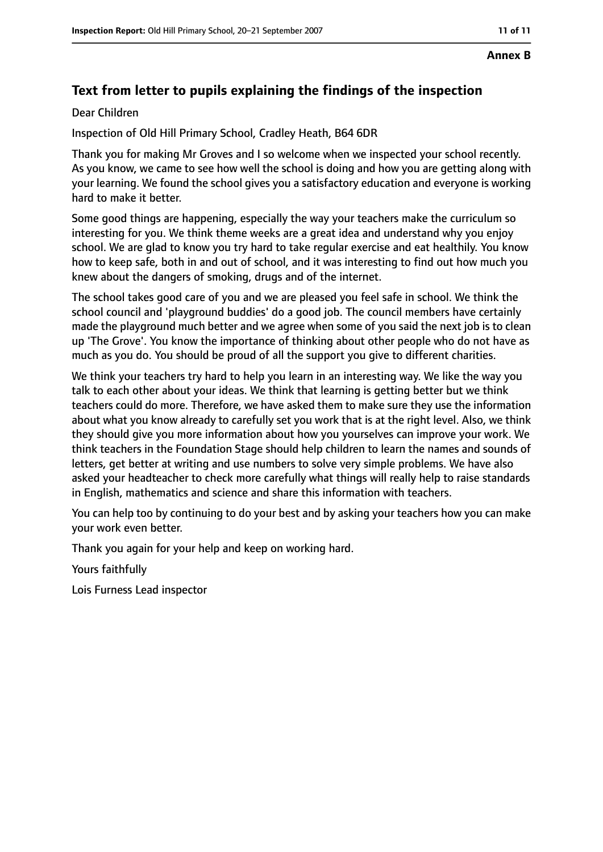#### **Annex B**

## **Text from letter to pupils explaining the findings of the inspection**

#### Dear Children

Inspection of Old Hill Primary School, Cradley Heath, B64 6DR

Thank you for making Mr Groves and I so welcome when we inspected your school recently. As you know, we came to see how well the school is doing and how you are getting along with your learning. We found the school gives you a satisfactory education and everyone is working hard to make it better.

Some good things are happening, especially the way your teachers make the curriculum so interesting for you. We think theme weeks are a great idea and understand why you enjoy school. We are glad to know you try hard to take regular exercise and eat healthily. You know how to keep safe, both in and out of school, and it was interesting to find out how much you knew about the dangers of smoking, drugs and of the internet.

The school takes good care of you and we are pleased you feel safe in school. We think the school council and 'playground buddies' do a good job. The council members have certainly made the playground much better and we agree when some of you said the next job is to clean up 'The Grove'. You know the importance of thinking about other people who do not have as much as you do. You should be proud of all the support you give to different charities.

We think your teachers try hard to help you learn in an interesting way. We like the way you talk to each other about your ideas. We think that learning is getting better but we think teachers could do more. Therefore, we have asked them to make sure they use the information about what you know already to carefully set you work that is at the right level. Also, we think they should give you more information about how you yourselves can improve your work. We think teachers in the Foundation Stage should help children to learn the names and sounds of letters, get better at writing and use numbers to solve very simple problems. We have also asked your headteacher to check more carefully what things will really help to raise standards in English, mathematics and science and share this information with teachers.

You can help too by continuing to do your best and by asking your teachers how you can make your work even better.

Thank you again for your help and keep on working hard.

Yours faithfully

Lois Furness Lead inspector